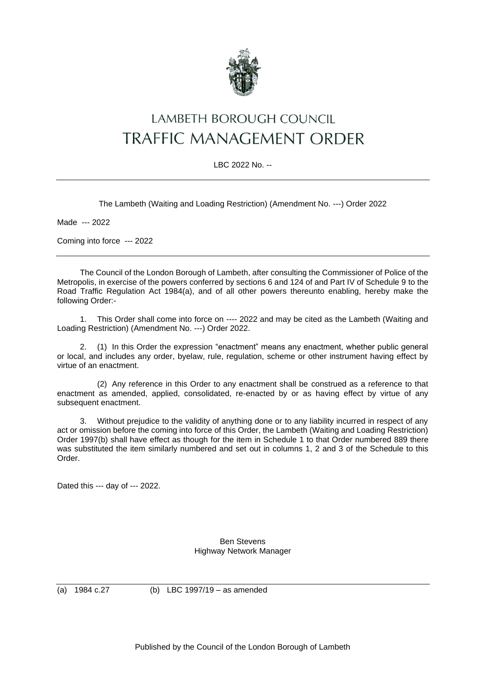

## LAMBETH BOROUGH COUNCIL **TRAFFIC MANAGEMENT ORDER**

LBC 2022 No. --

The Lambeth (Waiting and Loading Restriction) (Amendment No. ---) Order 2022

Made --- 2022

Coming into force --- 2022

The Council of the London Borough of Lambeth, after consulting the Commissioner of Police of the Metropolis, in exercise of the powers conferred by sections 6 and 124 of and Part IV of Schedule 9 to the Road Traffic Regulation Act 1984(a), and of all other powers thereunto enabling, hereby make the following Order:-

1. This Order shall come into force on ---- 2022 and may be cited as the Lambeth (Waiting and Loading Restriction) (Amendment No. ---) Order 2022.

2. (1) In this Order the expression "enactment" means any enactment, whether public general or local, and includes any order, byelaw, rule, regulation, scheme or other instrument having effect by virtue of an enactment.

(2) Any reference in this Order to any enactment shall be construed as a reference to that enactment as amended, applied, consolidated, re-enacted by or as having effect by virtue of any subsequent enactment.

3. Without prejudice to the validity of anything done or to any liability incurred in respect of any act or omission before the coming into force of this Order, the Lambeth (Waiting and Loading Restriction) Order 1997(b) shall have effect as though for the item in Schedule 1 to that Order numbered 889 there was substituted the item similarly numbered and set out in columns 1, 2 and 3 of the Schedule to this Order.

Dated this --- day of --- 2022.

Ben Stevens Highway Network Manager

(a) 1984 c.27 (b) LBC 1997/19 – as amended